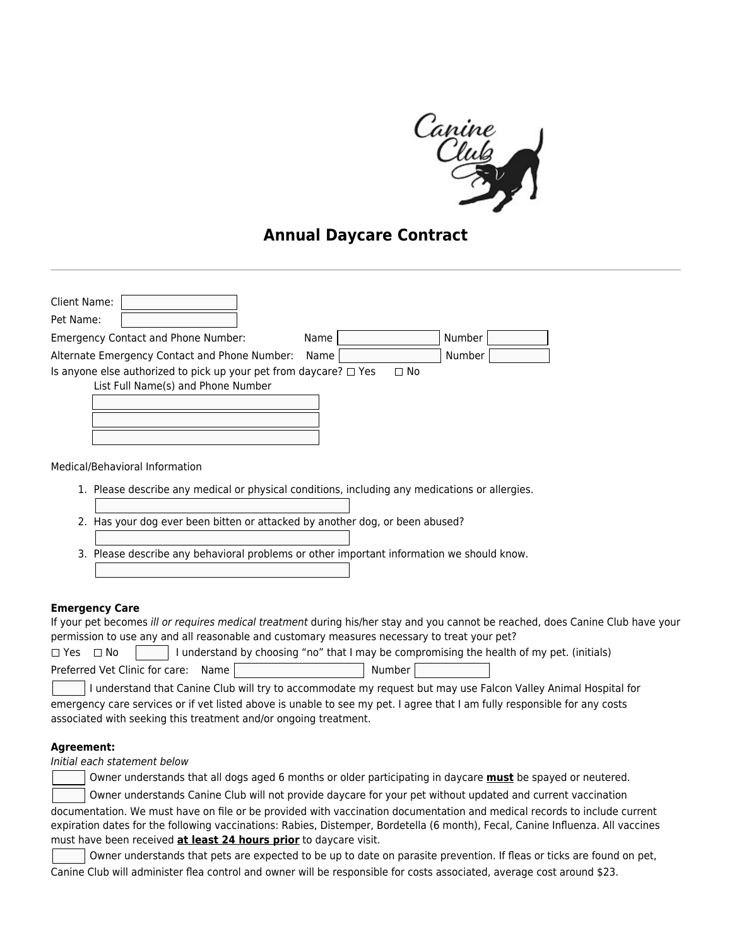

## **Annual Daycare Contract**

| Client Name:                                                                                                         |  |
|----------------------------------------------------------------------------------------------------------------------|--|
| Pet Name:                                                                                                            |  |
| Number<br><b>Emergency Contact and Phone Number:</b><br>Name                                                         |  |
| Number<br>Alternate Emergency Contact and Phone Number:<br>Name                                                      |  |
| Is anyone else authorized to pick up your pet from daycare? $\Box$ Yes<br>⊟ No<br>List Full Name(s) and Phone Number |  |
| Medical/Behavioral Information                                                                                       |  |
| 1. Please describe any medical or physical conditions, including any medications or allergies.                       |  |

- 2. Has your dog ever been bitten or attacked by another dog, or been abused?
- 3. Please describe any behavioral problems or other important information we should know.

## **Emergency Care**

If your pet becomes ill or requires medical treatment during his/her stay and you cannot be reached, does Canine Club have your permission to use any and all reasonable and customary measures necessary to treat your pet?

| $\Box$ Yes $\Box$ No                  |         | I understand by choosing "no" that I may be compromising the health of my pet. (initials) |
|---------------------------------------|---------|-------------------------------------------------------------------------------------------|
| Preferred Vet Clinic for care: Name I | Number, |                                                                                           |

 I understand that Canine Club will try to accommodate my request but may use Falcon Valley Animal Hospital for emergency care services or if vet listed above is unable to see my pet. I agree that I am fully responsible for any costs associated with seeking this treatment and/or ongoing treatment.

## **Agreement:**

Initial each statement below

|  | Owner understands that all dogs aged 6 months or older participating in daycare <b>must</b> be spayed or neutered. |  |
|--|--------------------------------------------------------------------------------------------------------------------|--|
|--|--------------------------------------------------------------------------------------------------------------------|--|

 Owner understands Canine Club will not provide daycare for your pet without updated and current vaccination documentation. We must have on file or be provided with vaccination documentation and medical records to include current expiration dates for the following vaccinations: Rabies, Distemper, Bordetella (6 month), Fecal, Canine Influenza. All vaccines must have been received **at least 24 hours prior** to daycare visit.

 Owner understands that pets are expected to be up to date on parasite prevention. If fleas or ticks are found on pet, Canine Club will administer flea control and owner will be responsible for costs associated, average cost around \$23.